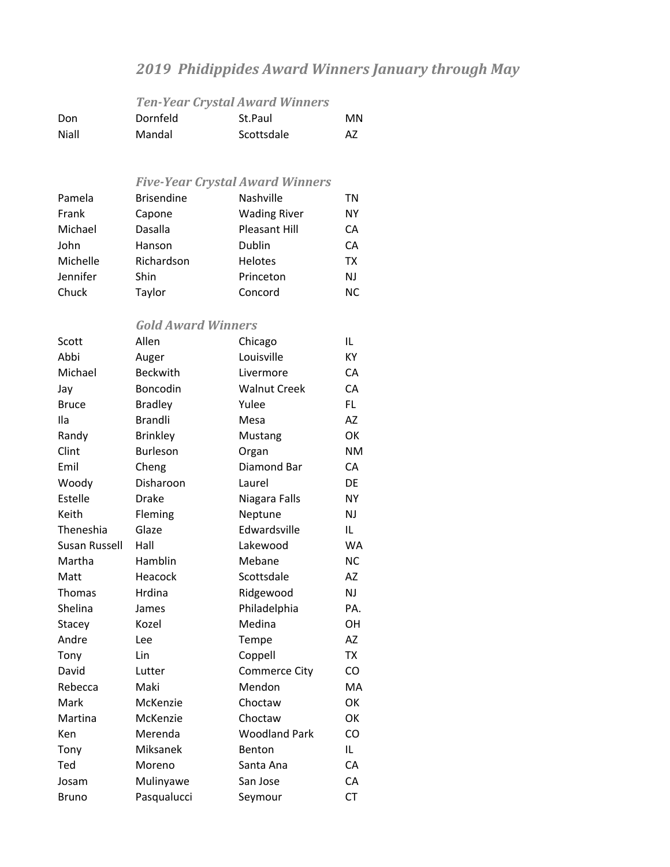## *2019 Phidippides Award Winners January through May*

## *Ten‐Year Crystal Award Winners* Don Dornfeld St.Paul MN Niall Mandal Scottsdale AZ *Five‐Year Crystal Award Winners* Pamela Brisendine Nashville TN Frank Capone Wading River NY Michael Dasalla Pleasant Hill CA John Hanson Dublin CA Michelle Richardson Helotes TX Jennifer Shin Princeton NJ Chuck Taylor Concord NC *Gold Award Winners* Scott Allen Chicago IL Abbi Auger Louisville KY Michael Beckwith Livermore CA Jay Boncodin Walnut Creek CA Bruce Bradley Yulee FL Ila Brandli Mesa AZ Randy Brinkley Mustang OK Clint Burleson Organ NM Emil Cheng Diamond Bar CA Woody Disharoon Laurel DE Estelle Drake Niagara Falls NY Keith Fleming Neptune NJ Theneshia Glaze Edwardsville IL Susan Russell Hall Lakewood WA Martha Hamblin Mebane NC Matt **Heacock** Scottsdale AZ Thomas Hrdina Ridgewood NJ Shelina James Philadelphia PA. Stacey Kozel Medina OH Andre Lee Tempe AZ Tony Lin Coppell TX David Lutter Commerce City CO Rebecca Maki Mendon MA Mark McKenzie Choctaw OK Martina McKenzie Choctaw OK Ken Merenda Woodland Park CO Tony Miksanek Benton IL Ted Moreno Santa Ana CA Josam Mulinyawe San Jose CA

Bruno Pasqualucci Seymour CT